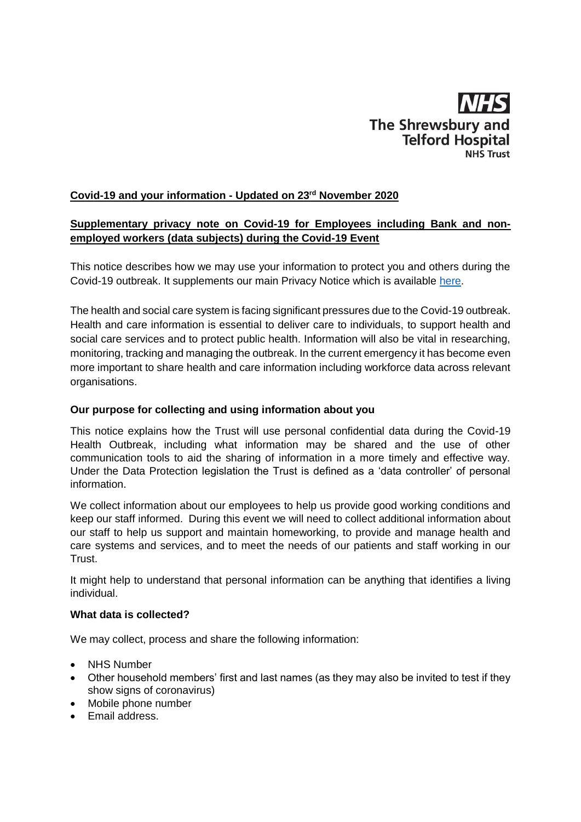

# **Covid-19 and your information - Updated on 23rd November 2020**

# **Supplementary privacy note on Covid-19 for Employees including Bank and nonemployed workers (data subjects) during the Covid-19 Event**

This notice describes how we may use your information to protect you and others during the Covid-19 outbreak. It supplements our main Privacy Notice which is available [here.](https://www.sath.nhs.uk/working-with-us/hr/policies/)

The health and social care system is facing significant pressures due to the Covid-19 outbreak. Health and care information is essential to deliver care to individuals, to support health and social care services and to protect public health. Information will also be vital in researching, monitoring, tracking and managing the outbreak. In the current emergency it has become even more important to share health and care information including workforce data across relevant organisations.

### **Our purpose for collecting and using information about you**

This notice explains how the Trust will use personal confidential data during the Covid-19 Health Outbreak, including what information may be shared and the use of other communication tools to aid the sharing of information in a more timely and effective way. Under the Data Protection legislation the Trust is defined as a 'data controller' of personal information.

We collect information about our employees to help us provide good working conditions and keep our staff informed. During this event we will need to collect additional information about our staff to help us support and maintain homeworking, to provide and manage health and care systems and services, and to meet the needs of our patients and staff working in our Trust.

It might help to understand that personal information can be anything that identifies a living individual.

### **What data is collected?**

We may collect, process and share the following information:

- NHS Number
- Other household members' first and last names (as they may also be invited to test if they show signs of coronavirus)
- Mobile phone number
- Email address.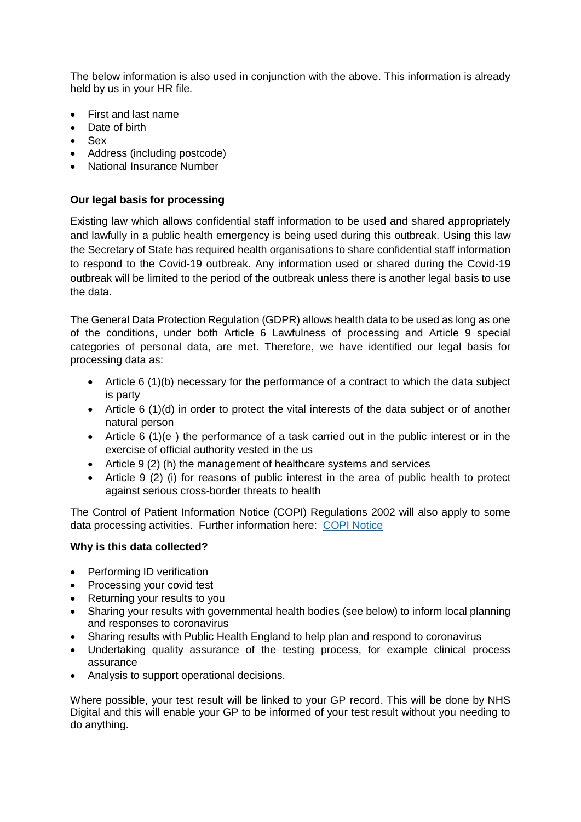The below information is also used in conjunction with the above. This information is already held by us in your HR file.

- First and last name
- Date of birth
- Sex
- Address (including postcode)
- National Insurance Number

## **Our legal basis for processing**

Existing law which allows confidential staff information to be used and shared appropriately and lawfully in a public health emergency is being used during this outbreak. Using this law the Secretary of State has required health organisations to share confidential staff information to respond to the Covid-19 outbreak. Any information used or shared during the Covid-19 outbreak will be limited to the period of the outbreak unless there is another legal basis to use the data.

The General Data Protection Regulation (GDPR) allows health data to be used as long as one of the conditions, under both Article 6 Lawfulness of processing and Article 9 special categories of personal data, are met. Therefore, we have identified our legal basis for processing data as:

- Article 6 (1)(b) necessary for the performance of a contract to which the data subject is party
- Article 6 (1)(d) in order to protect the vital interests of the data subject or of another natural person
- Article 6 (1)(e ) the performance of a task carried out in the public interest or in the exercise of official authority vested in the us
- Article 9 (2) (h) the management of healthcare systems and services
- Article 9 (2) (i) for reasons of public interest in the area of public health to protect against serious cross-border threats to health

The Control of Patient Information Notice (COPI) Regulations 2002 will also apply to some data processing activities. Further information here: [COPI Notice](https://digital.nhs.uk/coronavirus/coronavirus-covid-19-response-information-governance-hub/control-of-patient-information-copi-notice)

#### **Why is this data collected?**

- Performing ID verification
- Processing your covid test
- Returning your results to you
- Sharing your results with governmental health bodies (see below) to inform local planning and responses to coronavirus
- Sharing results with Public Health England to help plan and respond to coronavirus
- Undertaking quality assurance of the testing process, for example clinical process assurance
- Analysis to support operational decisions.

Where possible, your test result will be linked to your GP record. This will be done by NHS Digital and this will enable your GP to be informed of your test result without you needing to do anything.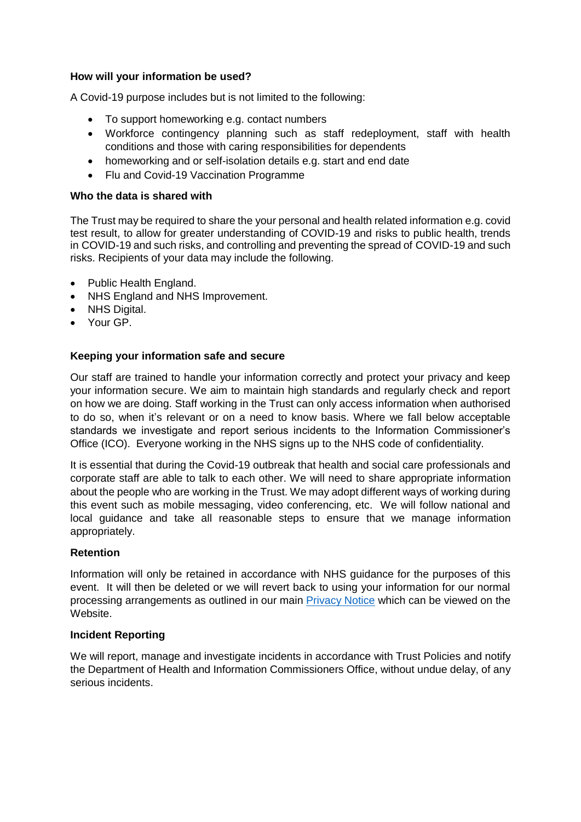### **How will your information be used?**

A Covid-19 purpose includes but is not limited to the following:

- To support homeworking e.g. contact numbers
- Workforce contingency planning such as staff redeployment, staff with health conditions and those with caring responsibilities for dependents
- homeworking and or self-isolation details e.g. start and end date
- Flu and Covid-19 Vaccination Programme

### **Who the data is shared with**

The Trust may be required to share the your personal and health related information e.g. covid test result, to allow for greater understanding of COVID-19 and risks to public health, trends in COVID-19 and such risks, and controlling and preventing the spread of COVID-19 and such risks. Recipients of your data may include the following.

- Public Health England.
- NHS England and NHS Improvement.
- NHS Digital.
- Your GP.

## **Keeping your information safe and secure**

Our staff are trained to handle your information correctly and protect your privacy and keep your information secure. We aim to maintain high standards and regularly check and report on how we are doing. Staff working in the Trust can only access information when authorised to do so, when it's relevant or on a need to know basis. Where we fall below acceptable standards we investigate and report serious incidents to the Information Commissioner's Office (ICO). Everyone working in the NHS signs up to the NHS code of confidentiality.

It is essential that during the Covid-19 outbreak that health and social care professionals and corporate staff are able to talk to each other. We will need to share appropriate information about the people who are working in the Trust. We may adopt different ways of working during this event such as mobile messaging, video conferencing, etc. We will follow national and local guidance and take all reasonable steps to ensure that we manage information appropriately.

#### **Retention**

Information will only be retained in accordance with NHS guidance for the purposes of this event. It will then be deleted or we will revert back to using your information for our normal processing arrangements as outlined in our main [Privacy Notice](https://www.sath.nhs.uk/working-with-us/hr/policies/) which can be viewed on the Website.

#### **Incident Reporting**

We will report, manage and investigate incidents in accordance with Trust Policies and notify the Department of Health and Information Commissioners Office, without undue delay, of any serious incidents.